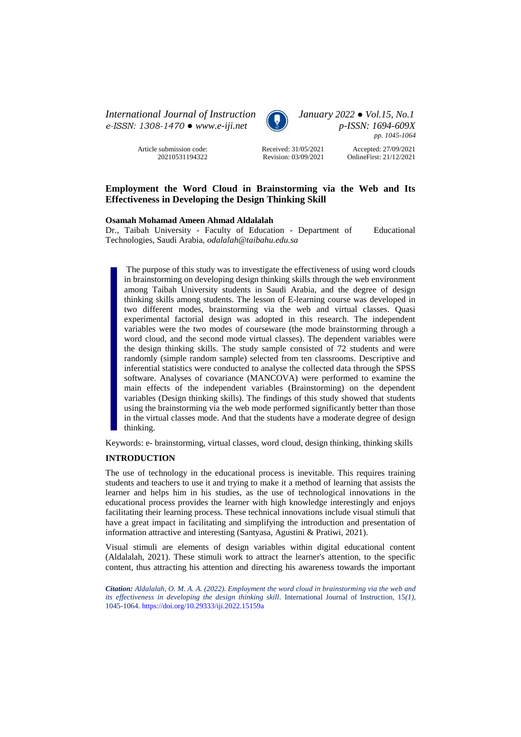*International Journal of Instruction January 2022 ● Vol.15, No.1 e-ISSN: 1308-1470 ● [www.e-iji.net](http://www.e-iji.net/) p-ISSN: 1694-609X*

> Article submission code: 20210531194322



*pp. 1045-1064*

Received: 31/05/2021 Revision: 03/09/2021

Accepted: 27/09/2021 OnlineFirst: 21/12/2021

# **Employment the Word Cloud in Brainstorming via the Web and Its Effectiveness in Developing the Design Thinking Skill**

### **Osamah Mohamad Ameen Ahmad Aldalalah**

Dr., Taibah University - Faculty of Education - Department of Educational Technologies, Saudi Arabia, *odalalah@taibahu.edu.sa*

The purpose of this study was to investigate the effectiveness of using word clouds in brainstorming on developing design thinking skills through the web environment among Taibah University students in Saudi Arabia, and the degree of design thinking skills among students. The lesson of E-learning course was developed in two different modes, brainstorming via the web and virtual classes. Quasi experimental factorial design was adopted in this research. The independent variables were the two modes of courseware (the mode brainstorming through a word cloud, and the second mode virtual classes). The dependent variables were the design thinking skills. The study sample consisted of 72 students and were randomly (simple random sample) selected from ten classrooms. Descriptive and inferential statistics were conducted to analyse the collected data through the SPSS software. Analyses of covariance (MANCOVA) were performed to examine the main effects of the independent variables (Brainstorming) on the dependent variables (Design thinking skills). The findings of this study showed that students using the brainstorming via the web mode performed significantly better than those in the virtual classes mode. And that the students have a moderate degree of design thinking.

Keywords: e- brainstorming, virtual classes, word cloud, design thinking, thinking skills

# **INTRODUCTION**

The use of technology in the educational process is inevitable. This requires training students and teachers to use it and trying to make it a method of learning that assists the learner and helps him in his studies, as the use of technological innovations in the educational process provides the learner with high knowledge interestingly and enjoys facilitating their learning process. These technical innovations include visual stimuli that have a great impact in facilitating and simplifying the introduction and presentation of information attractive and interesting (Santyasa, Agustini & Pratiwi, 2021).

Visual stimuli are elements of design variables within digital educational content (Aldalalah, 2021). These stimuli work to attract the learner's attention, to the specific content, thus attracting his attention and directing his awareness towards the important

*Citation: Aldalalah, O. M. A. A. (2022). Employment the word cloud in brainstorming via the web and its effectiveness in developing the design thinking skill.* International Journal of Instruction, 15(1), 1045-1064. <https://doi.org/10.29333/iji.2022.15159a>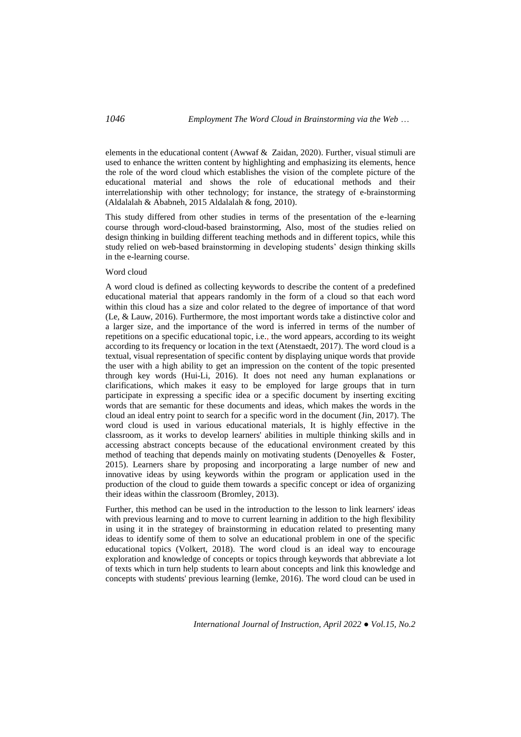elements in the educational content (Awwaf  $\&$  Zaidan, 2020). Further, visual stimuli are used to enhance the written content by highlighting and emphasizing its elements, hence the role of the word cloud which establishes the vision of the complete picture of the educational material and shows the role of educational methods and their interrelationship with other technology; for instance, the strategy of e-brainstorming (Aldalalah & Ababneh, 2015 Aldalalah & fong, 2010).

This study differed from other studies in terms of the presentation of the e-learning course through word-cloud-based brainstorming, Also, most of the studies relied on design thinking in building different teaching methods and in different topics, while this study relied on web-based brainstorming in developing students' design thinking skills in the e-learning course.

### Word cloud

A word cloud is defined as collecting keywords to describe the content of a predefined educational material that appears randomly in the form of a cloud so that each word within this cloud has a size and color related to the degree of importance of that word (Le, & Lauw, 2016). Furthermore, the most important words take a distinctive color and a larger size, and the importance of the word is inferred in terms of the number of repetitions on a specific educational topic, i.e., the word appears, according to its weight according to its frequency or location in the text (Atenstaedt, 2017). The word cloud is a textual, visual representation of specific content by displaying unique words that provide the user with a high ability to get an impression on the content of the topic presented through key words (Hui-Li, 2016). It does not need any human explanations or clarifications, which makes it easy to be employed for large groups that in turn participate in expressing a specific idea or a specific document by inserting exciting words that are semantic for these documents and ideas, which makes the words in the cloud an ideal entry point to search for a specific word in the document (Jin, 2017). The word cloud is used in various educational materials, It is highly effective in the classroom, as it works to develop learners' abilities in multiple thinking skills and in accessing abstract concepts because of the educational environment created by this method of teaching that depends mainly on motivating students (Denoyelles & Foster, 2015). Learners share by proposing and incorporating a large number of new and innovative ideas by using keywords within the program or application used in the production of the cloud to guide them towards a specific concept or idea of organizing their ideas within the classroom (Bromley, 2013).

Further, this method can be used in the introduction to the lesson to link learners' ideas with previous learning and to move to current learning in addition to the high flexibility in using it in the strategey of brainstorming in education related to presenting many ideas to identify some of them to solve an educational problem in one of the specific educational topics (Volkert, 2018). The word cloud is an ideal way to encourage exploration and knowledge of concepts or topics through keywords that abbreviate a lot of texts which in turn help students to learn about concepts and link this knowledge and concepts with students' previous learning (lemke, 2016). The word cloud can be used in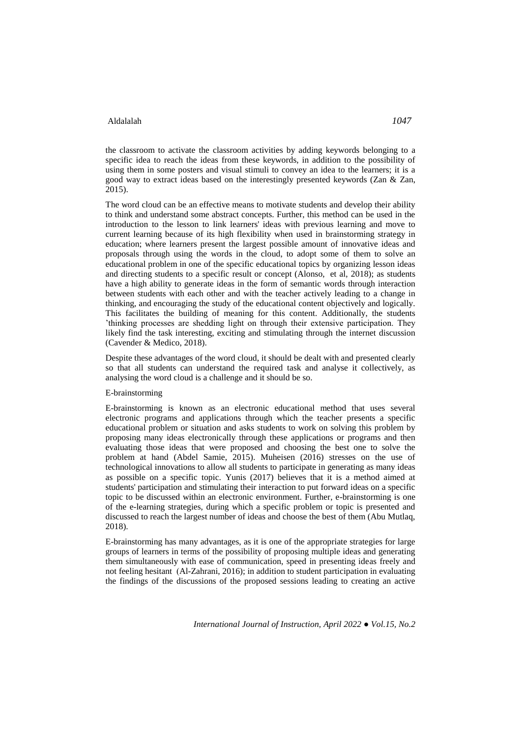the classroom to activate the classroom activities by adding keywords belonging to a specific idea to reach the ideas from these keywords, in addition to the possibility of using them in some posters and visual stimuli to convey an idea to the learners; it is a good way to extract ideas based on the interestingly presented keywords (Zan & Zan, 2015).

The word cloud can be an effective means to motivate students and develop their ability to think and understand some abstract concepts. Further, this method can be used in the introduction to the lesson to link learners' ideas with previous learning and move to current learning because of its high flexibility when used in brainstorming strategy in education; where learners present the largest possible amount of innovative ideas and proposals through using the words in the cloud, to adopt some of them to solve an educational problem in one of the specific educational topics by organizing lesson ideas and directing students to a specific result or concept (Alonso, et al, 2018); as students have a high ability to generate ideas in the form of semantic words through interaction between students with each other and with the teacher actively leading to a change in thinking, and encouraging the study of the educational content objectively and logically. This facilitates the building of meaning for this content. Additionally, the students 'thinking processes are shedding light on through their extensive participation. They likely find the task interesting, exciting and stimulating through the internet discussion (Cavender & Medico, 2018).

Despite these advantages of the word cloud, it should be dealt with and presented clearly so that all students can understand the required task and analyse it collectively, as analysing the word cloud is a challenge and it should be so.

#### E-brainstorming

E-brainstorming is known as an electronic educational method that uses several electronic programs and applications through which the teacher presents a specific educational problem or situation and asks students to work on solving this problem by proposing many ideas electronically through these applications or programs and then evaluating those ideas that were proposed and choosing the best one to solve the problem at hand (Abdel Samie, 2015). Muheisen (2016) stresses on the use of technological innovations to allow all students to participate in generating as many ideas as possible on a specific topic. Yunis (2017) believes that it is a method aimed at students' participation and stimulating their interaction to put forward ideas on a specific topic to be discussed within an electronic environment. Further, e-brainstorming is one of the e-learning strategies, during which a specific problem or topic is presented and discussed to reach the largest number of ideas and choose the best of them (Abu Mutlaq, 2018).

E-brainstorming has many advantages, as it is one of the appropriate strategies for large groups of learners in terms of the possibility of proposing multiple ideas and generating them simultaneously with ease of communication, speed in presenting ideas freely and not feeling hesitant (Al-Zahrani, 2016); in addition to student participation in evaluating the findings of the discussions of the proposed sessions leading to creating an active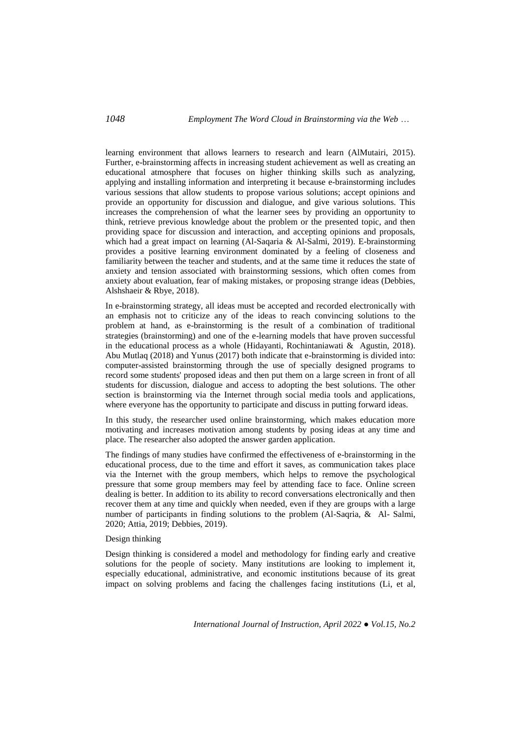learning environment that allows learners to research and learn (AlMutairi, 2015). Further, e-brainstorming affects in increasing student achievement as well as creating an educational atmosphere that focuses on higher thinking skills such as analyzing, applying and installing information and interpreting it because e-brainstorming includes various sessions that allow students to propose various solutions; accept opinions and provide an opportunity for discussion and dialogue, and give various solutions. This increases the comprehension of what the learner sees by providing an opportunity to think, retrieve previous knowledge about the problem or the presented topic, and then providing space for discussion and interaction, and accepting opinions and proposals, which had a great impact on learning (Al-Saqaria & Al-Salmi, 2019). E-brainstorming provides a positive learning environment dominated by a feeling of closeness and familiarity between the teacher and students, and at the same time it reduces the state of anxiety and tension associated with brainstorming sessions, which often comes from anxiety about evaluation, fear of making mistakes, or proposing strange ideas (Debbies, Alshshaeir & Rbye, 2018).

In e-brainstorming strategy, all ideas must be accepted and recorded electronically with an emphasis not to criticize any of the ideas to reach convincing solutions to the problem at hand, as e-brainstorming is the result of a combination of traditional strategies (brainstorming) and one of the e-learning models that have proven successful in the educational process as a whole (Hidayanti, Rochintaniawati & Agustin, 2018). Abu Mutlaq (2018) and Yunus (2017) both indicate that e-brainstorming is divided into: computer-assisted brainstorming through the use of specially designed programs to record some students' proposed ideas and then put them on a large screen in front of all students for discussion, dialogue and access to adopting the best solutions. The other section is brainstorming via the Internet through social media tools and applications, where everyone has the opportunity to participate and discuss in putting forward ideas.

In this study, the researcher used online brainstorming, which makes education more motivating and increases motivation among students by posing ideas at any time and place. The researcher also adopted the answer garden application.

The findings of many studies have confirmed the effectiveness of e-brainstorming in the educational process, due to the time and effort it saves, as communication takes place via the Internet with the group members, which helps to remove the psychological pressure that some group members may feel by attending face to face. Online screen dealing is better. In addition to its ability to record conversations electronically and then recover them at any time and quickly when needed, even if they are groups with a large number of participants in finding solutions to the problem (Al-Saqria, & Al- Salmi, 2020; Attia, 2019; Debbies, 2019).

# Design thinking

Design thinking is considered a model and methodology for finding early and creative solutions for the people of society. Many institutions are looking to implement it, especially educational, administrative, and economic institutions because of its great impact on solving problems and facing the challenges facing institutions (Li, et al,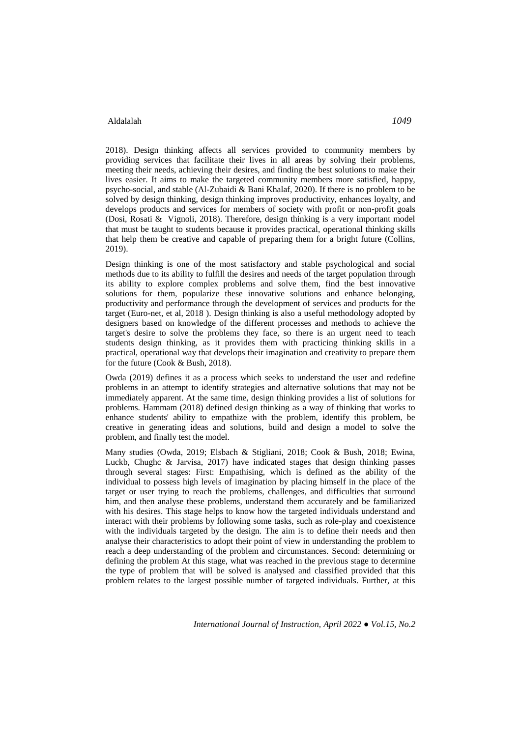2018). Design thinking affects all services provided to community members by providing services that facilitate their lives in all areas by solving their problems, meeting their needs, achieving their desires, and finding the best solutions to make their lives easier. It aims to make the targeted community members more satisfied, happy, psycho-social, and stable (Al-Zubaidi & Bani Khalaf, 2020). If there is no problem to be solved by design thinking, design thinking improves productivity, enhances loyalty, and develops products and services for members of society with profit or non-profit goals (Dosi, Rosati & Vignoli, 2018). Therefore, design thinking is a very important model that must be taught to students because it provides practical, operational thinking skills that help them be creative and capable of preparing them for a bright future (Collins, 2019).

Design thinking is one of the most satisfactory and stable psychological and social methods due to its ability to fulfill the desires and needs of the target population through its ability to explore complex problems and solve them, find the best innovative solutions for them, popularize these innovative solutions and enhance belonging, productivity and performance through the development of services and products for the target (Euro-net, et al, 2018 ). Design thinking is also a useful methodology adopted by designers based on knowledge of the different processes and methods to achieve the target's desire to solve the problems they face, so there is an urgent need to teach students design thinking, as it provides them with practicing thinking skills in a practical, operational way that develops their imagination and creativity to prepare them for the future (Cook & Bush, 2018).

Owda (2019) defines it as a process which seeks to understand the user and redefine problems in an attempt to identify strategies and alternative solutions that may not be immediately apparent. At the same time, design thinking provides a list of solutions for problems. Hammam (2018) defined design thinking as a way of thinking that works to enhance students' ability to empathize with the problem, identify this problem, be creative in generating ideas and solutions, build and design a model to solve the problem, and finally test the model.

Many studies (Owda, 2019; Elsbach & Stigliani, 2018; Cook & Bush, 2018; Ewina, Luckb, Chughc & Jarvisa, 2017) have indicated stages that design thinking passes through several stages: First: Empathising, which is defined as the ability of the individual to possess high levels of imagination by placing himself in the place of the target or user trying to reach the problems, challenges, and difficulties that surround him, and then analyse these problems, understand them accurately and be familiarized with his desires. This stage helps to know how the targeted individuals understand and interact with their problems by following some tasks, such as role-play and coexistence with the individuals targeted by the design. The aim is to define their needs and then analyse their characteristics to adopt their point of view in understanding the problem to reach a deep understanding of the problem and circumstances. Second: determining or defining the problem At this stage, what was reached in the previous stage to determine the type of problem that will be solved is analysed and classified provided that this problem relates to the largest possible number of targeted individuals. Further, at this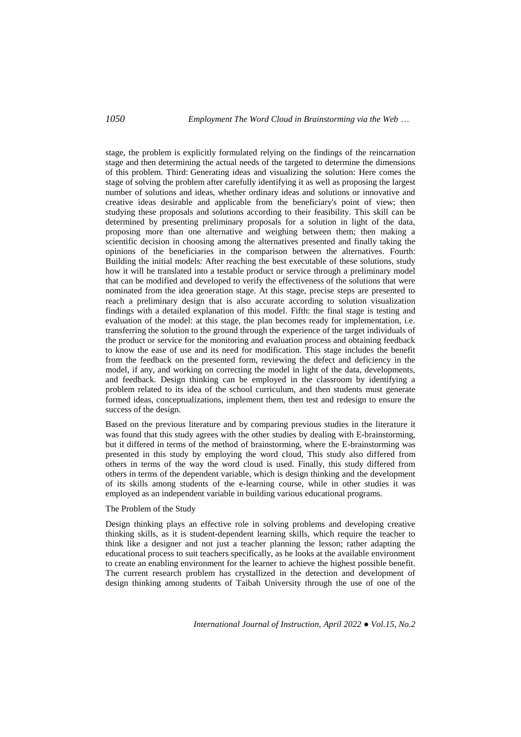stage, the problem is explicitly formulated relying on the findings of the reincarnation stage and then determining the actual needs of the targeted to determine the dimensions of this problem. Third: Generating ideas and visualizing the solution: Here comes the stage of solving the problem after carefully identifying it as well as proposing the largest number of solutions and ideas, whether ordinary ideas and solutions or innovative and creative ideas desirable and applicable from the beneficiary's point of view; then studying these proposals and solutions according to their feasibility. This skill can be determined by presenting preliminary proposals for a solution in light of the data, proposing more than one alternative and weighing between them; then making a scientific decision in choosing among the alternatives presented and finally taking the opinions of the beneficiaries in the comparison between the alternatives. Fourth: Building the initial models: After reaching the best executable of these solutions, study how it will be translated into a testable product or service through a preliminary model that can be modified and developed to verify the effectiveness of the solutions that were nominated from the idea generation stage. At this stage, precise steps are presented to reach a preliminary design that is also accurate according to solution visualization findings with a detailed explanation of this model. Fifth: the final stage is testing and evaluation of the model: at this stage, the plan becomes ready for implementation, i.e. transferring the solution to the ground through the experience of the target individuals of the product or service for the monitoring and evaluation process and obtaining feedback to know the ease of use and its need for modification. This stage includes the benefit from the feedback on the presented form, reviewing the defect and deficiency in the model, if any, and working on correcting the model in light of the data, developments, and feedback. Design thinking can be employed in the classroom by identifying a problem related to its idea of the school curriculum, and then students must generate formed ideas, conceptualizations, implement them, then test and redesign to ensure the success of the design.

Based on the previous literature and by comparing previous studies in the literature it was found that this study agrees with the other studies by dealing with E-brainstorming, but it differed in terms of the method of brainstorming, where the E-brainstorming was presented in this study by employing the word cloud, This study also differed from others in terms of the way the word cloud is used. Finally, this study differed from others in terms of the dependent variable, which is design thinking and the development of its skills among students of the e-learning course, while in other studies it was employed as an independent variable in building various educational programs.

### The Problem of the Study

Design thinking plays an effective role in solving problems and developing creative thinking skills, as it is student-dependent learning skills, which require the teacher to think like a designer and not just a teacher planning the lesson; rather adapting the educational process to suit teachers specifically, as he looks at the available environment to create an enabling environment for the learner to achieve the highest possible benefit. The current research problem has crystallized in the detection and development of design thinking among students of Taibah University through the use of one of the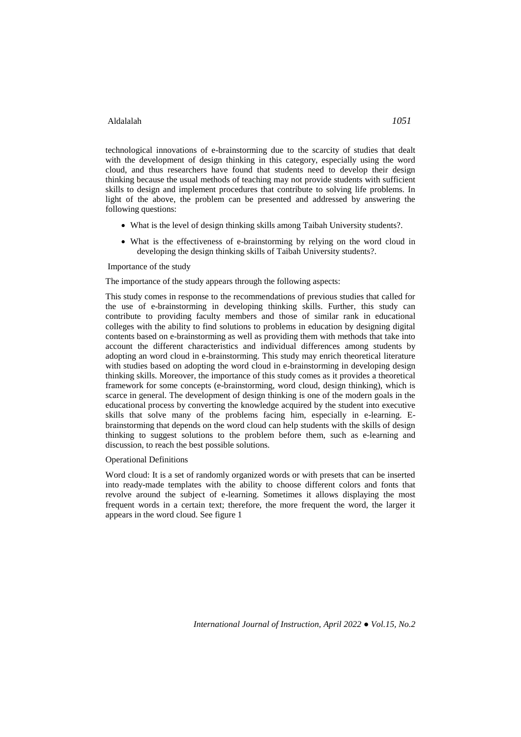technological innovations of e-brainstorming due to the scarcity of studies that dealt with the development of design thinking in this category, especially using the word cloud, and thus researchers have found that students need to develop their design thinking because the usual methods of teaching may not provide students with sufficient skills to design and implement procedures that contribute to solving life problems. In light of the above, the problem can be presented and addressed by answering the following questions:

- What is the level of design thinking skills among Taibah University students?.
- What is the effectiveness of e-brainstorming by relying on the word cloud in developing the design thinking skills of Taibah University students?.

Importance of the study

The importance of the study appears through the following aspects:

This study comes in response to the recommendations of previous studies that called for the use of e-brainstorming in developing thinking skills. Further, this study can contribute to providing faculty members and those of similar rank in educational colleges with the ability to find solutions to problems in education by designing digital contents based on e-brainstorming as well as providing them with methods that take into account the different characteristics and individual differences among students by adopting an word cloud in e-brainstorming. This study may enrich theoretical literature with studies based on adopting the word cloud in e-brainstorming in developing design thinking skills. Moreover, the importance of this study comes as it provides a theoretical framework for some concepts (e-brainstorming, word cloud, design thinking), which is scarce in general. The development of design thinking is one of the modern goals in the educational process by converting the knowledge acquired by the student into executive skills that solve many of the problems facing him, especially in e-learning. Ebrainstorming that depends on the word cloud can help students with the skills of design thinking to suggest solutions to the problem before them, such as e-learning and discussion, to reach the best possible solutions.

### Operational Definitions

Word cloud: It is a set of randomly organized words or with presets that can be inserted into ready-made templates with the ability to choose different colors and fonts that revolve around the subject of e-learning. Sometimes it allows displaying the most frequent words in a certain text; therefore, the more frequent the word, the larger it appears in the word cloud. See figure 1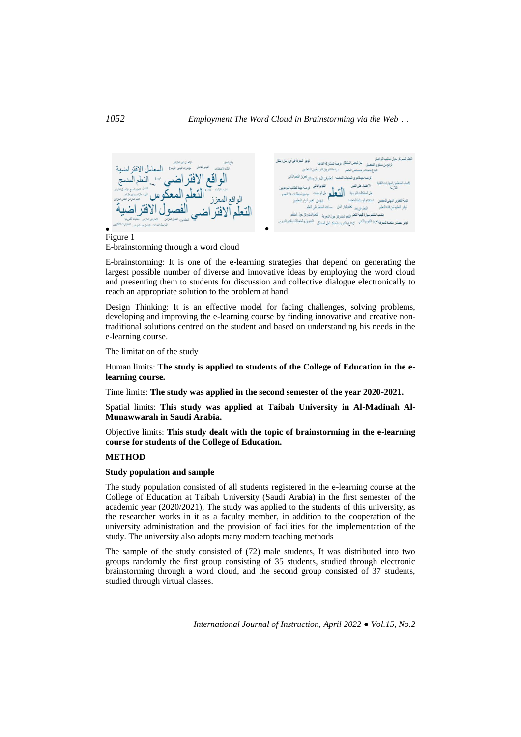

E-brainstorming through a word cloud

E-brainstorming: It is one of the e-learning strategies that depend on generating the largest possible number of diverse and innovative ideas by employing the word cloud and presenting them to students for discussion and collective dialogue electronically to reach an appropriate solution to the problem at hand.

Design Thinking: It is an effective model for facing challenges, solving problems, developing and improving the e-learning course by finding innovative and creative nontraditional solutions centred on the student and based on understanding his needs in the e-learning course.

The limitation of the study

Human limits: **The study is applied to students of the College of Education in the elearning course.**

Time limits: **The study was applied in the second semester of the year 2020-2021.**

Spatial limits: **This study was applied at Taibah University in Al-Madinah Al-Munawwarah in Saudi Arabia.**

Objective limits: **This study dealt with the topic of brainstorming in the e-learning course for students of the College of Education.**

### **METHOD**

### **Study population and sample**

The study population consisted of all students registered in the e-learning course at the College of Education at Taibah University (Saudi Arabia) in the first semester of the academic year (2020/2021), The study was applied to the students of this university, as the researcher works in it as a faculty member, in addition to the cooperation of the university administration and the provision of facilities for the implementation of the study. The university also adopts many modern teaching methods

The sample of the study consisted of (72) male students, It was distributed into two groups randomly the first group consisting of 35 students, studied through electronic brainstorming through a word cloud, and the second group consisted of 37 students, studied through virtual classes.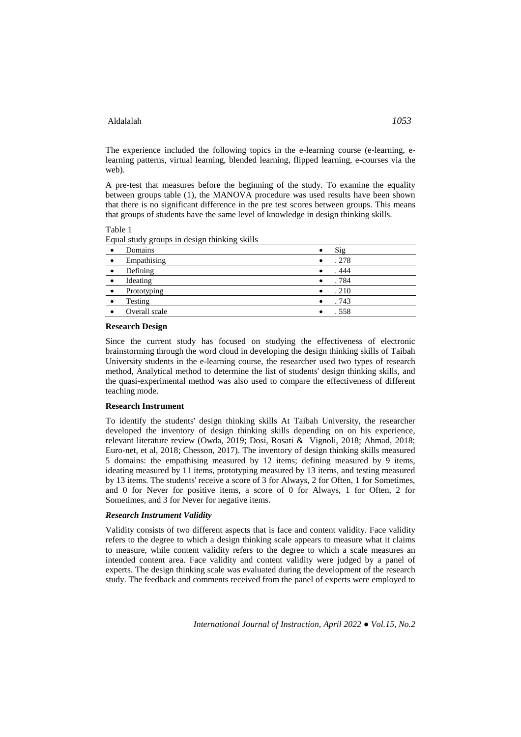The experience included the following topics in the e-learning course (e-learning, elearning patterns, virtual learning, blended learning, flipped learning, e-courses via the web).

A pre-test that measures before the beginning of the study. To examine the equality between groups table (1), the MANOVA procedure was used results have been shown that there is no significant difference in the pre test scores between groups. This means that groups of students have the same level of knowledge in design thinking skills.

#### Table 1

Equal study groups in design thinking skills

|           | Domains       | $\bullet$ | Sig   |
|-----------|---------------|-----------|-------|
| $\bullet$ | Empathising   | ٠         | . 278 |
| $\bullet$ | Defining      | ٠         | . 444 |
|           | Ideating      |           | . 784 |
| $\bullet$ | Prototyping   | $\bullet$ | .210  |
|           | Testing       |           | . 743 |
|           | Overall scale |           | . 558 |
|           |               |           |       |

### **Research Design**

Since the current study has focused on studying the effectiveness of electronic brainstorming through the word cloud in developing the design thinking skills of Taibah University students in the e-learning course, the researcher used two types of research method, Analytical method to determine the list of students' design thinking skills, and the quasi-experimental method was also used to compare the effectiveness of different teaching mode.

# **Research Instrument**

To identify the students' design thinking skills At Taibah University, the researcher developed the inventory of design thinking skills depending on on his experience, relevant literature review (Owda, 2019; Dosi, Rosati & Vignoli, 2018; Ahmad, 2018; Euro-net, et al, 2018; Chesson, 2017). The inventory of design thinking skills measured 5 domains: the empathising measured by 12 items; defining measured by 9 items, ideating measured by 11 items, prototyping measured by 13 items, and testing measured by 13 items. The students' receive a score of 3 for Always, 2 for Often, 1 for Sometimes, and 0 for Never for positive items, a score of 0 for Always, 1 for Often, 2 for Sometimes, and 3 for Never for negative items.

#### *Research Instrument Validity*

Validity consists of two different aspects that is face and content validity. Face validity refers to the degree to which a design thinking scale appears to measure what it claims to measure, while content validity refers to the degree to which a scale measures an intended content area. Face validity and content validity were judged by a panel of experts. The design thinking scale was evaluated during the development of the research study. The feedback and comments received from the panel of experts were employed to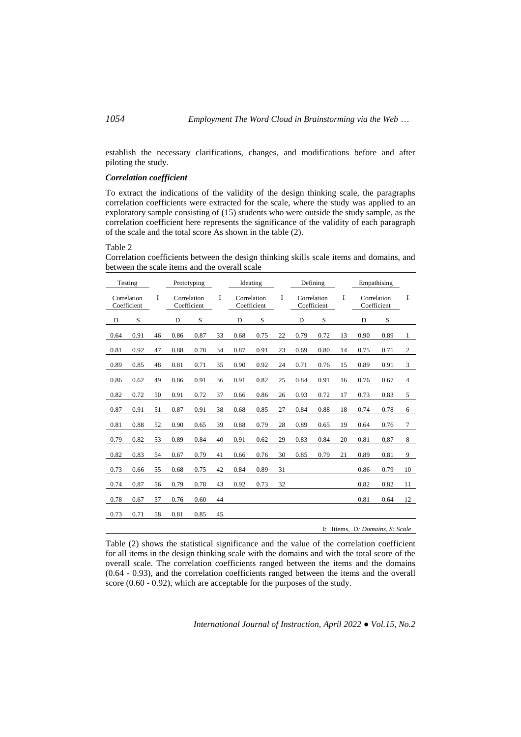establish the necessary clarifications, changes, and modifications before and after piloting the study.

### *Correlation coefficient*

To extract the indications of the validity of the design thinking scale, the paragraphs correlation coefficients were extracted for the scale, where the study was applied to an exploratory sample consisting of (15) students who were outside the study sample, as the correlation coefficient here represents the significance of the validity of each paragraph of the scale and the total score As shown in the table (2).

### Table 2

Correlation coefficients between the design thinking skills scale items and domains, and between the scale items and the overall scale

|      | Testing                    |    |      | Prototyping                |    |                            | Ideating |    |      | Defining |    |      | Empathising                    |                            |   |  |                            |   |
|------|----------------------------|----|------|----------------------------|----|----------------------------|----------|----|------|----------|----|------|--------------------------------|----------------------------|---|--|----------------------------|---|
|      | Correlation<br>Coefficient | I  |      | Correlation<br>Coefficient | I  | Correlation<br>Coefficient |          |    |      |          |    | I    |                                | Correlation<br>Coefficient | I |  | Correlation<br>Coefficient | I |
| D    | S                          |    | D    | S                          |    | D                          | S        |    | D    | S        |    | D    | S                              |                            |   |  |                            |   |
| 0.64 | 0.91                       | 46 | 0.86 | 0.87                       | 33 | 0.68                       | 0.75     | 22 | 0.79 | 0.72     | 13 | 0.90 | 0.89                           | $\mathbf{1}$               |   |  |                            |   |
| 0.81 | 0.92                       | 47 | 0.88 | 0.78                       | 34 | 0.87                       | 0.91     | 23 | 0.69 | 0.80     | 14 | 0.75 | 0.71                           | $\mathfrak{2}$             |   |  |                            |   |
| 0.89 | 0.85                       | 48 | 0.81 | 0.71                       | 35 | 0.90                       | 0.92     | 24 | 0.71 | 0.76     | 15 | 0.89 | 0.91                           | 3                          |   |  |                            |   |
| 0.86 | 0.62                       | 49 | 0.86 | 0.91                       | 36 | 0.91                       | 0.82     | 25 | 0.84 | 0.91     | 16 | 0.76 | 0.67                           | $\overline{4}$             |   |  |                            |   |
| 0.82 | 0.72                       | 50 | 0.91 | 0.72                       | 37 | 0.66                       | 0.86     | 26 | 0.93 | 0.72     | 17 | 0.73 | 0.83                           | 5                          |   |  |                            |   |
| 0.87 | 0.91                       | 51 | 0.87 | 0.91                       | 38 | 0.68                       | 0.85     | 27 | 0.84 | 0.88     | 18 | 0.74 | 0.78                           | 6                          |   |  |                            |   |
| 0.81 | 0.88                       | 52 | 0.90 | 0.65                       | 39 | 0.88                       | 0.79     | 28 | 0.89 | 0.65     | 19 | 0.64 | 0.76                           | $\tau$                     |   |  |                            |   |
| 0.79 | 0.82                       | 53 | 0.89 | 0.84                       | 40 | 0.91                       | 0.62     | 29 | 0.83 | 0.84     | 20 | 0.81 | 0,87                           | 8                          |   |  |                            |   |
| 0.82 | 0.83                       | 54 | 0.67 | 0.79                       | 41 | 0.66                       | 0.76     | 30 | 0.85 | 0.79     | 21 | 0.89 | 0.81                           | 9                          |   |  |                            |   |
| 0.73 | 0.66                       | 55 | 0.68 | 0.75                       | 42 | 0.84                       | 0.89     | 31 |      |          |    | 0.86 | 0.79                           | 10                         |   |  |                            |   |
| 0.74 | 0.87                       | 56 | 0.79 | 0.78                       | 43 | 0.92                       | 0.73     | 32 |      |          |    | 0.82 | 0.82                           | 11                         |   |  |                            |   |
| 0.78 | 0.67                       | 57 | 0.76 | 0.60                       | 44 |                            |          |    |      |          |    | 0.81 | 0.64                           | 12                         |   |  |                            |   |
| 0.73 | 0.71                       | 58 | 0.81 | 0.85                       | 45 |                            |          |    |      |          |    |      |                                |                            |   |  |                            |   |
|      |                            |    |      |                            |    |                            |          |    |      |          |    |      | I: Items, D. Domains, S. Scale |                            |   |  |                            |   |

Table (2) shows the statistical significance and the value of the correlation coefficient for all items in the design thinking scale with the domains and with the total score of the overall scale. The correlation coefficients ranged between the items and the domains (0.64 - 0.93), and the correlation coefficients ranged between the items and the overall score (0.60 - 0.92), which are acceptable for the purposes of the study.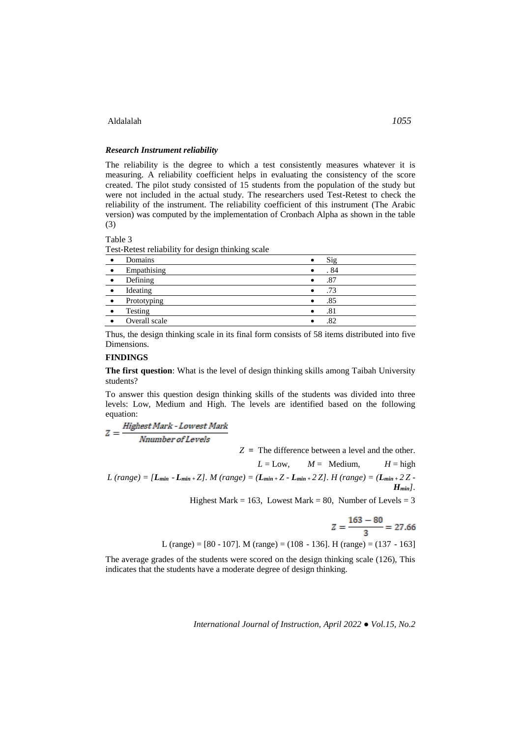### *Research Instrument reliability*

The reliability is the degree to which a test consistently measures whatever it is measuring. A reliability coefficient helps in evaluating the consistency of the score created. The pilot study consisted of 15 students from the population of the study but were not included in the actual study. The researchers used Test-Retest to check the reliability of the instrument. The reliability coefficient of this instrument (The Arabic version) was computed by the implementation of Cronbach Alpha as shown in the table (3)

Table 3

Test-Retest reliability for design thinking scale

|           | Domains       |           | Sig  |
|-----------|---------------|-----------|------|
| $\bullet$ | Empathising   | ٠         | . 84 |
|           | Defining      |           | .87  |
|           | Ideating      |           | .73  |
|           | Prototyping   |           | .85  |
|           | Testing       | $\bullet$ | .81  |
|           | Overall scale |           | .82  |

Thus, the design thinking scale in its final form consists of 58 items distributed into five Dimensions.

### **FINDINGS**

**The first question**: What is the level of design thinking skills among Taibah University students?

To answer this question design thinking skills of the students was divided into three levels: Low, Medium and High. The levels are identified based on the following equation:

 $Z = \frac{Higher \, Mark\text{-}Lowest \, Mark}{Number \, of \, Levels}$ 

*Z* **=** The difference between a level and the other.  $L = Low$ ,  $M = Median$ ,  $H = high$  $L$  (range) =  $[L_{min} - L_{min} + Z]$ . *M* (range) =  $(L_{min} + Z - L_{min} + 2Z)$ . *H* (range) =  $(L_{min} + 2Z - L_{min} + Z)$ . *Hmin].*  Highest Mark = 163, Lowest Mark = 80, Number of Levels =  $3$  $\sim$  $\sim$ 

$$
Z = \frac{163 - 80}{3} = 27.66
$$

L (range) = [80 - 107]. M (range) = (108- 136]. H (range) = (137- 163]

The average grades of the students were scored on the design thinking scale (126), This indicates that the students have a moderate degree of design thinking.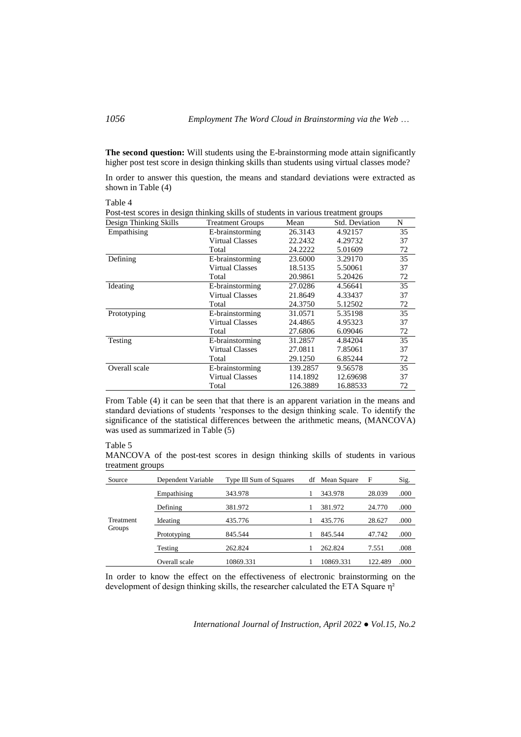**The second question:** Will students using the E-brainstorming mode attain significantly higher post test score in design thinking skills than students using virtual classes mode?

In order to answer this question, the means and standard deviations were extracted as shown in Table (4)

Table 4

| 1 avit +                                                                           |                         |          |                       |    |  |  |  |
|------------------------------------------------------------------------------------|-------------------------|----------|-----------------------|----|--|--|--|
| Post-test scores in design thinking skills of students in various treatment groups |                         |          |                       |    |  |  |  |
| Design Thinking Skills                                                             | <b>Treatment Groups</b> | Mean     | <b>Std. Deviation</b> | N  |  |  |  |
| Empathising                                                                        | E-brainstorming         | 26.3143  | 4.92157               | 35 |  |  |  |
|                                                                                    | <b>Virtual Classes</b>  | 22.2432  | 4.29732               | 37 |  |  |  |
|                                                                                    | Total                   | 24.2222  | 5.01609               | 72 |  |  |  |
| Defining                                                                           | E-brainstorming         | 23.6000  | 3.29170               | 35 |  |  |  |
|                                                                                    | <b>Virtual Classes</b>  | 18.5135  | 5.50061               | 37 |  |  |  |
|                                                                                    | Total                   | 20.9861  | 5.20426               | 72 |  |  |  |
| Ideating                                                                           | E-brainstorming         | 27.0286  | 4.56641               | 35 |  |  |  |
|                                                                                    | <b>Virtual Classes</b>  | 21.8649  | 4.33437               | 37 |  |  |  |
|                                                                                    | Total                   | 24.3750  | 5.12502               | 72 |  |  |  |
| Prototyping                                                                        | E-brainstorming         | 31.0571  | 5.35198               | 35 |  |  |  |
|                                                                                    | <b>Virtual Classes</b>  | 24.4865  | 4.95323               | 37 |  |  |  |
|                                                                                    | Total                   | 27.6806  | 6.09046               | 72 |  |  |  |
| Testing                                                                            | E-brainstorming         | 31.2857  | 4.84204               | 35 |  |  |  |
|                                                                                    | <b>Virtual Classes</b>  | 27.0811  | 7.85061               | 37 |  |  |  |
|                                                                                    | Total                   | 29.1250  | 6.85244               | 72 |  |  |  |
| Overall scale                                                                      | E-brainstorming         | 139.2857 | 9.56578               | 35 |  |  |  |
|                                                                                    | <b>Virtual Classes</b>  | 114.1892 | 12.69698              | 37 |  |  |  |
|                                                                                    | Total                   | 126.3889 | 16.88533              | 72 |  |  |  |
|                                                                                    |                         |          |                       |    |  |  |  |

From Table (4) it can be seen that that there is an apparent variation in the means and standard deviations of students 'responses to the design thinking scale. To identify the significance of the statistical differences between the arithmetic means, (MANCOVA) was used as summarized in Table (5)

#### Table 5

MANCOVA of the post-test scores in design thinking skills of students in various treatment groups

| Source    | Dependent Variable | Type III Sum of Squares | df | Mean Square | F       | Sig. |
|-----------|--------------------|-------------------------|----|-------------|---------|------|
|           | Empathising        | 343.978                 |    | 343.978     | 28.039  | .000 |
|           | Defining           | 381.972                 |    | 381.972     | 24.770  | .000 |
| Treatment | Ideating           | 435.776                 |    | 435.776     | 28.627  | .000 |
| Groups    | Prototyping        | 845.544                 |    | 845.544     | 47.742  | .000 |
|           | Testing            | 262.824                 |    | 262.824     | 7.551   | .008 |
|           | Overall scale      | 10869.331               |    | 10869.331   | 122.489 | .000 |

In order to know the effect on the effectiveness of electronic brainstorming on the development of design thinking skills, the researcher calculated the ETA Square η²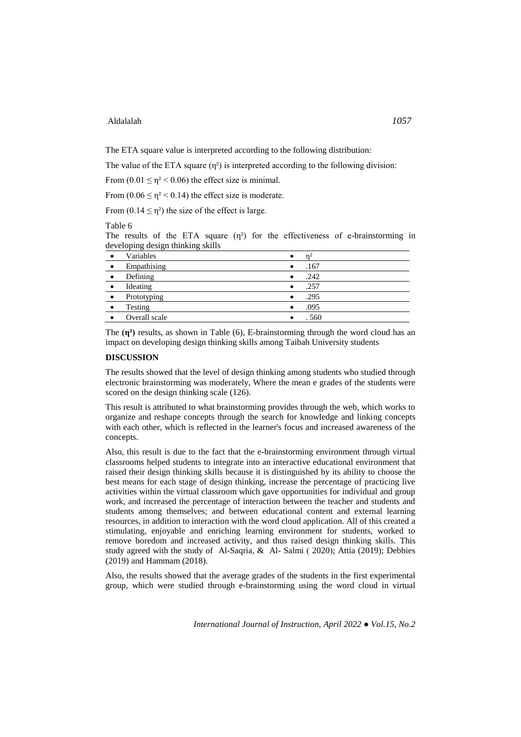The ETA square value is interpreted according to the following distribution:

The value of the ETA square  $(\eta^2)$  is interpreted according to the following division:

From  $(0.01 \le \eta^2 < 0.06)$  the effect size is minimal.

From  $(0.06 \le \eta^2 < 0.14)$  the effect size is moderate.

From  $(0.14 \le \eta^2)$  the size of the effect is large.

#### Table 6

The results of the ETA square  $(n^2)$  for the effectiveness of e-brainstorming in developing design thinking skills

|           | Variables     | $\bullet$ |       |
|-----------|---------------|-----------|-------|
| $\bullet$ | Empathising   |           | .167  |
| $\bullet$ | Defining      | $\bullet$ | .242  |
| $\bullet$ | Ideating      |           | .257  |
|           | Prototyping   |           | .295  |
|           | Testing       |           | .095  |
|           | Overall scale |           | . 560 |

The **(η²)** results, as shown in Table (6), E-brainstorming through the word cloud has an impact on developing design thinking skills among Taibah University students

# **DISCUSSION**

The results showed that the level of design thinking among students who studied through electronic brainstorming was moderately, Where the mean e grades of the students were scored on the design thinking scale  $(126)$ .

This result is attributed to what brainstorming provides through the web, which works to organize and reshape concepts through the search for knowledge and linking concepts with each other, which is reflected in the learner's focus and increased awareness of the concepts.

Also, this result is due to the fact that the e-brainstorming environment through virtual classrooms helped students to integrate into an interactive educational environment that raised their design thinking skills because it is distinguished by its ability to choose the best means for each stage of design thinking, increase the percentage of practicing live activities within the virtual classroom which gave opportunities for individual and group work, and increased the percentage of interaction between the teacher and students and students among themselves; and between educational content and external learning resources, in addition to interaction with the word cloud application. All of this created a stimulating, enjoyable and enriching learning environment for students, worked to remove boredom and increased activity, and thus raised design thinking skills. This study agreed with the study of Al-Saqria, & Al-Salmi (2020); Attia (2019); Debbies (2019) and Hammam (2018).

Also, the results showed that the average grades of the students in the first experimental group, which were studied through e-brainstorming using the word cloud in virtual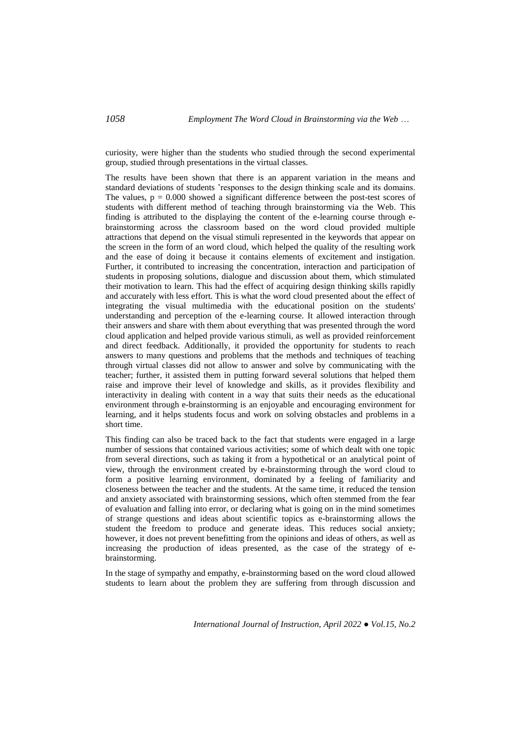curiosity, were higher than the students who studied through the second experimental group, studied through presentations in the virtual classes.

The results have been shown that there is an apparent variation in the means and standard deviations of students 'responses to the design thinking scale and its domains. The values,  $p = 0.000$  showed a significant difference between the post-test scores of students with different method of teaching through brainstorming via the Web. This finding is attributed to the displaying the content of the e-learning course through ebrainstorming across the classroom based on the word cloud provided multiple attractions that depend on the visual stimuli represented in the keywords that appear on the screen in the form of an word cloud, which helped the quality of the resulting work and the ease of doing it because it contains elements of excitement and instigation. Further, it contributed to increasing the concentration, interaction and participation of students in proposing solutions, dialogue and discussion about them, which stimulated their motivation to learn. This had the effect of acquiring design thinking skills rapidly and accurately with less effort. This is what the word cloud presented about the effect of integrating the visual multimedia with the educational position on the students' understanding and perception of the e-learning course. It allowed interaction through their answers and share with them about everything that was presented through the word cloud application and helped provide various stimuli, as well as provided reinforcement and direct feedback. Additionally, it provided the opportunity for students to reach answers to many questions and problems that the methods and techniques of teaching through virtual classes did not allow to answer and solve by communicating with the teacher; further, it assisted them in putting forward several solutions that helped them raise and improve their level of knowledge and skills, as it provides flexibility and interactivity in dealing with content in a way that suits their needs as the educational environment through e-brainstorming is an enjoyable and encouraging environment for learning, and it helps students focus and work on solving obstacles and problems in a short time.

This finding can also be traced back to the fact that students were engaged in a large number of sessions that contained various activities; some of which dealt with one topic from several directions, such as taking it from a hypothetical or an analytical point of view, through the environment created by e-brainstorming through the word cloud to form a positive learning environment, dominated by a feeling of familiarity and closeness between the teacher and the students. At the same time, it reduced the tension and anxiety associated with brainstorming sessions, which often stemmed from the fear of evaluation and falling into error, or declaring what is going on in the mind sometimes of strange questions and ideas about scientific topics as e-brainstorming allows the student the freedom to produce and generate ideas. This reduces social anxiety; however, it does not prevent benefitting from the opinions and ideas of others, as well as increasing the production of ideas presented, as the case of the strategy of ebrainstorming.

In the stage of sympathy and empathy, e-brainstorming based on the word cloud allowed students to learn about the problem they are suffering from through discussion and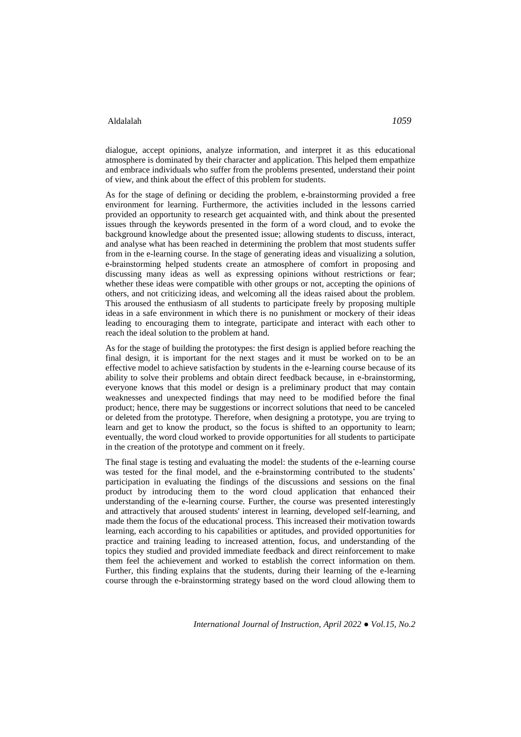dialogue, accept opinions, analyze information, and interpret it as this educational atmosphere is dominated by their character and application. This helped them empathize and embrace individuals who suffer from the problems presented, understand their point of view, and think about the effect of this problem for students.

As for the stage of defining or deciding the problem, e-brainstorming provided a free environment for learning. Furthermore, the activities included in the lessons carried provided an opportunity to research get acquainted with, and think about the presented issues through the keywords presented in the form of a word cloud, and to evoke the background knowledge about the presented issue; allowing students to discuss, interact, and analyse what has been reached in determining the problem that most students suffer from in the e-learning course. In the stage of generating ideas and visualizing a solution, e-brainstorming helped students create an atmosphere of comfort in proposing and discussing many ideas as well as expressing opinions without restrictions or fear; whether these ideas were compatible with other groups or not, accepting the opinions of others, and not criticizing ideas, and welcoming all the ideas raised about the problem. This aroused the enthusiasm of all students to participate freely by proposing multiple ideas in a safe environment in which there is no punishment or mockery of their ideas leading to encouraging them to integrate, participate and interact with each other to reach the ideal solution to the problem at hand.

As for the stage of building the prototypes: the first design is applied before reaching the final design, it is important for the next stages and it must be worked on to be an effective model to achieve satisfaction by students in the e-learning course because of its ability to solve their problems and obtain direct feedback because, in e-brainstorming, everyone knows that this model or design is a preliminary product that may contain weaknesses and unexpected findings that may need to be modified before the final product; hence, there may be suggestions or incorrect solutions that need to be canceled or deleted from the prototype. Therefore, when designing a prototype, you are trying to learn and get to know the product, so the focus is shifted to an opportunity to learn; eventually, the word cloud worked to provide opportunities for all students to participate in the creation of the prototype and comment on it freely.

The final stage is testing and evaluating the model: the students of the e-learning course was tested for the final model, and the e-brainstorming contributed to the students' participation in evaluating the findings of the discussions and sessions on the final product by introducing them to the word cloud application that enhanced their understanding of the e-learning course. Further, the course was presented interestingly and attractively that aroused students' interest in learning, developed self-learning, and made them the focus of the educational process. This increased their motivation towards learning, each according to his capabilities or aptitudes, and provided opportunities for practice and training leading to increased attention, focus, and understanding of the topics they studied and provided immediate feedback and direct reinforcement to make them feel the achievement and worked to establish the correct information on them. Further, this finding explains that the students, during their learning of the e-learning course through the e-brainstorming strategy based on the word cloud allowing them to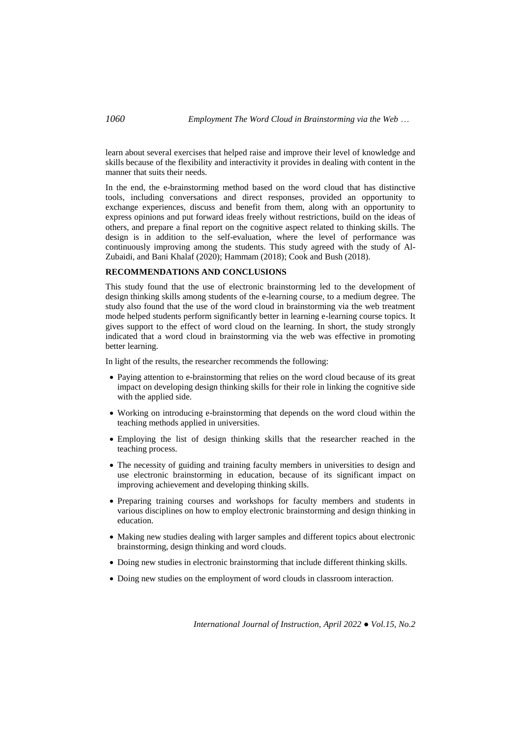learn about several exercises that helped raise and improve their level of knowledge and skills because of the flexibility and interactivity it provides in dealing with content in the manner that suits their needs.

In the end, the e-brainstorming method based on the word cloud that has distinctive tools, including conversations and direct responses, provided an opportunity to exchange experiences, discuss and benefit from them, along with an opportunity to express opinions and put forward ideas freely without restrictions, build on the ideas of others, and prepare a final report on the cognitive aspect related to thinking skills. The design is in addition to the self-evaluation, where the level of performance was continuously improving among the students. This study agreed with the study of Al-Zubaidi, and Bani Khalaf (2020); Hammam (2018); Cook and Bush (2018).

# **RECOMMENDATIONS AND CONCLUSIONS**

This study found that the use of electronic brainstorming led to the development of design thinking skills among students of the e-learning course, to a medium degree. The study also found that the use of the word cloud in brainstorming via the web treatment mode helped students perform significantly better in learning e-learning course topics. It gives support to the effect of word cloud on the learning. In short, the study strongly indicated that a word cloud in brainstorming via the web was effective in promoting better learning.

In light of the results, the researcher recommends the following:

- Paying attention to e-brainstorming that relies on the word cloud because of its great impact on developing design thinking skills for their role in linking the cognitive side with the applied side.
- Working on introducing e-brainstorming that depends on the word cloud within the teaching methods applied in universities.
- Employing the list of design thinking skills that the researcher reached in the teaching process.
- The necessity of guiding and training faculty members in universities to design and use electronic brainstorming in education, because of its significant impact on improving achievement and developing thinking skills.
- Preparing training courses and workshops for faculty members and students in various disciplines on how to employ electronic brainstorming and design thinking in education.
- Making new studies dealing with larger samples and different topics about electronic brainstorming, design thinking and word clouds.
- Doing new studies in electronic brainstorming that include different thinking skills.
- Doing new studies on the employment of word clouds in classroom interaction.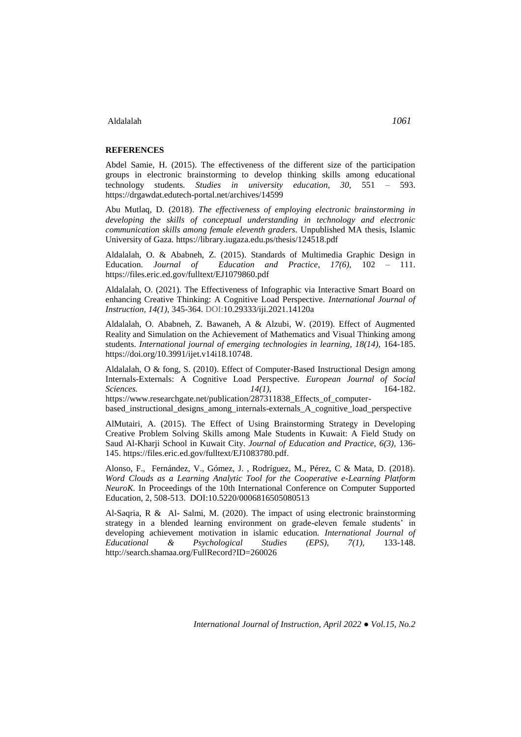### **REFERENCES**

Abdel Samie, H. (2015). The effectiveness of the different size of the participation groups in electronic brainstorming to develop thinking skills among educational technology students. *Studies in university education, 30,* 551 – 593. <https://drgawdat.edutech-portal.net/archives/14599>

Abu Mutlaq, D. (2018). *The effectiveness of employing electronic brainstorming in developing the skills of conceptual understanding in technology and electronic communication skills among female eleventh graders.* Unpublished MA thesis, Islamic University of Gaza. <https://library.iugaza.edu.ps/thesis/124518.pdf>

Aldalalah, O. & Ababneh, Z. (2015). Standards of Multimedia Graphic Design in Education. *Journal of Education and Practice, 17(6),* 102 – 111. <https://files.eric.ed.gov/fulltext/EJ1079860.pdf>

Aldalalah, O. (2021). The Effectiveness of Infographic via Interactive Smart Board on enhancing Creative Thinking: A Cognitive Load Perspective. *International Journal of Instruction, 14(1),* 345-364. DOI[:10.29333/iji.2021.14120a](http://dx.doi.org/10.29333/iji.2021.14120a)

Aldalalah, O. Ababneh, Z. Bawaneh, A & Alzubi, W. (2019). Effect of Augmented Reality and Simulation on the Achievement of Mathematics and Visual Thinking among students. *International journal of emerging technologies in learning, 18(14),* 164-185. [https://doi.org/10.3991/ijet.v14i18.10748.](https://doi.org/10.3991/ijet.v14i18.10748)

Aldalalah, O & fong, S. (2010). Effect of Computer-Based Instructional Design among Internals-Externals: A Cognitive Load Perspective. *European Journal of Social Sciences. 14(1),* 164-182. https://www.researchgate.net/publication/287311838 Effects of computerbased\_instructional\_designs\_among\_internals-externals\_A\_cognitive\_load\_perspective

AlMutairi, A. (2015). The Effect of Using Brainstorming Strategy in Developing Creative Problem Solving Skills among Male Students in Kuwait: A Field Study on Saud Al-Kharji School in Kuwait City. *Journal of Education and Practice, 6(3),* 136- 145[. https://files.eric.ed.gov/fulltext/EJ1083780.pdf.](https://files.eric.ed.gov/fulltext/EJ1083780.pdf)

Alonso, F., Fernández, V., Gómez, J. , Rodríguez, M., Pérez, C & Mata, D. (2018). *Word Clouds as a Learning Analytic Tool for the Cooperative e-Learning Platform NeuroK.* In Proceedings of the 10th International Conference on Computer Supported Education, 2, 508-513. DOI[:10.5220/0006816505080513](https://www.researchgate.net/deref/http%3A%2F%2Fdx.doi.org%2F10.5220%2F0006816505080513?_sg%5B0%5D=z4kGNr5-zqniVgxu5sBjcnxGDtDMliA8NQ3tHs3xIV1WhqtuC-tnbhqnTbG17hXevKIlVwOJnJ-0kuMDeioS9o2iHg.DdDbN0yJWK55l2lRma6muHWfVpqYs5bc8CSJUEYhQsK9wFdjZWmZkHfIBMQijli6zsZD5JdLeZf0-bndXS7spQ)

Al-Saqria, R & Al- Salmi, M. (2020). The impact of using electronic brainstorming strategy in a blended learning environment on grade-eleven female students' in developing achievement motivation in islamic education*. International Journal of Educational & Psychological Studies (EPS), 7(1),* 133-148. http://search.shamaa.org/FullRecord?ID=260026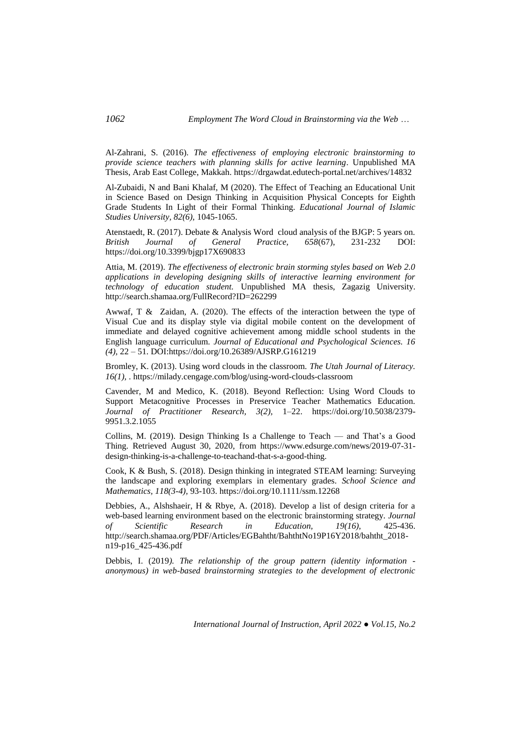Al-Zahrani, S. (2016). *The effectiveness of employing electronic brainstorming to provide science teachers with planning skills for active learning*. Unpublished MA Thesis, Arab East College, Makkah.<https://drgawdat.edutech-portal.net/archives/14832>

Al-Zubaidi, N and Bani Khalaf, M (2020). The Effect of Teaching an Educational Unit in Science Based on Design Thinking in Acquisition Physical Concepts for Eighth Grade Students In Light of their Formal Thinking. *Educational Journal of Islamic Studies University, 82(6),* 1045-1065.

Atenstaedt, R. (2017). Debate & Analysis Word cloud analysis of the BJGP: 5 years on. *British Journal of General Practice, 658*(67), 231-232 DOI: https://doi.org/10.3399/bjgp17X690833

Attia, M. (2019). *The effectiveness of electronic brain storming styles based on Web 2.0 applications in developing designing skills of interactive learning environment for technology of education student.* Unpublished MA thesis, Zagazig University. http://search.shamaa.org/FullRecord?ID=262299

Awwaf, T & Zaidan, A. (2020). The effects of the interaction between the type of Visual Cue and its display style via digital mobile content on the development of immediate and delayed cognitive achievement among middle school students in the English language curriculum. *Journal of Educational and Psychological Sciences. 16 (4),* 22 – 51. DOI:https://doi.org/10.26389/AJSRP.G161219

Bromley, K. (2013). Using word clouds in the classroom. *The Utah Journal of Literacy. 16(1),* . https://milady.cengage.com/blog/using-word-clouds-classroom

Cavender, M and Medico, K. (2018). Beyond Reflection: Using Word Clouds to Support Metacognitive Processes in Preservice Teacher Mathematics Education. *Journal of Practitioner Research, 3(2),* 1–22. [https://doi.org/10.5038/2379-](https://doi.org/10.5038/2379-9951.3.2.1055) [9951.3.2.1055](https://doi.org/10.5038/2379-9951.3.2.1055)

Collins, M. (2019). Design Thinking Is a Challenge to Teach — and That's a Good Thing. Retrieved August 30, 2020, from [https://www.edsurge.com/news/2019-07-31](https://www.edsurge.com/news/2019-07-31-design-thinking-is-a-challenge-to-teachand-that-s-a-good-thing) [design-thinking-is-a-challenge-to-teachand-that-s-a-good-thing.](https://www.edsurge.com/news/2019-07-31-design-thinking-is-a-challenge-to-teachand-that-s-a-good-thing)

Cook, K & Bush, S. (2018). Design thinking in integrated STEAM learning: Surveying the landscape and exploring exemplars in elementary grades. *School Science and Mathematics, 118(3-4),* 93-103[. https://doi.org/10.1111/ssm.12268](https://doi.org/10.1111/ssm.12268)

Debbies, A., Alshshaeir, H & Rbye, A. (2018). Develop a list of design criteria for a web-based learning environment based on the electronic brainstorming strategy. *Journal of Scientific Research in Education, 19(16),* 425-436. [http://search.shamaa.org/PDF/Articles/EGBahtht/BahthtNo19P16Y2018/bahtht\\_2018](http://search.shamaa.org/PDF/Articles/EGBahtht/BahthtNo19P16Y2018/bahtht_2018-n19-p16_425-436.pdf) [n19-p16\\_425-436.pdf](http://search.shamaa.org/PDF/Articles/EGBahtht/BahthtNo19P16Y2018/bahtht_2018-n19-p16_425-436.pdf)

Debbis, I. (2019*). The relationship of the group pattern (identity information anonymous) in web-based brainstorming strategies to the development of electronic*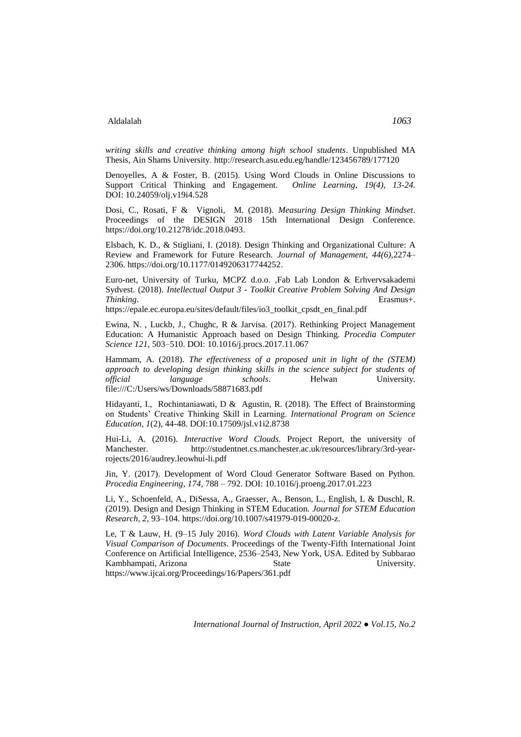*writing skills and creative thinking among high school students*. Unpublished MA Thesis, Ain Shams University. http://research.asu.edu.eg/handle/123456789/177120

Denoyelles, A & Foster, B. (2015). Using Word Clouds in Online Discussions to Support Critical Thinking and Engagement. *Online Learning, 19(4), 13-24.* DOI: [10.24059/olj.v19i4.528](https://www.researchgate.net/deref/http%3A%2F%2Fdx.doi.org%2F10.24059%2Folj.v19i4.528?_sg%5B0%5D=cIBC7mxI9IQm3AaTqvuAvyyxm8EABWpBWUvZ-xfCx7pYOuiiMtVzBwkEO4WIJzRknkXLeVvH-smHvPaxp9_Jvoy2Ow.hUXZVFjnkQuk8C_uD3JFdfU77as1GTO_xJhsar7s6P8wZdUO9xYGtjDMjMUd3-A3RgLAY52gYacaVcSxv-chUw)

Dosi, C., Rosati, F & Vignoli, M. (2018). *Measuring Design Thinking Mindset*. Proceedings of the DESIGN 2018 15th International Design Conference. [https://doi.org/10.21278/idc.2018.0493.](https://doi.org/10.21278/idc.2018.0493)

Elsbach, K. D., & Stigliani, I. (2018). Design Thinking and Organizational Culture: A Review and Framework for Future Research. *Journal of Management, 44(6),*2274– 2306[. https://doi.org/10.1177/0149206317744252.](https://doi.org/10.1177/0149206317744252)

Euro-net, University of Turku, MCPZ d.o.o. ,Fab Lab London & Erhvervsakademi Sydvest. (2018). *Intellectual Output 3 - Toolkit Creative Problem Solving And Design Thinking*. Erasmus+.

[https://epale.ec.europa.eu/sites/default/files/io3\\_toolkit\\_cpsdt\\_en\\_final.pdf](https://epale.ec.europa.eu/sites/default/files/io3_toolkit_cpsdt_en_final.pdf)

Ewina, N. , Luckb, J., Chughc, R & Jarvisa. (2017). Rethinking Project Management Education: A Humanistic Approach based on Design Thinking. *Procedia Computer Science 121*, 503–510. DOI: [10.1016/j.procs.2017.11.067](https://www.researchgate.net/deref/http%3A%2F%2Fdx.doi.org%2F10.1016%2Fj.procs.2017.11.067?_sg%5B0%5D=NIACioAjcPMmsdWc3XhyBYvyoZmmGZJXLHx6nMuUZ45Z6EKjNIo_Tyb8TPZ21NsfUDX33f0xHqLVZbGscCyzllMLQw.0eEXdCeynfo8WCJQtC3nrj4VbiR1Hihmnu9hvhLFByOVba0zfYmps5660iPxHl07GwEsfX7QtaHdBXmbNDDfwQ)

Hammam, A. (2018). *The effectiveness of a proposed unit in light of the (STEM) approach to developing design thinking skills in the science subject for students of official anguage schools.* Helwan *University. schools*. Helwan University. file:///C:/Users/ws/Downloads/58871683.pdf

Hidayanti, I., Rochintaniawati, D & Agustin, R. (2018). The Effect of Brainstorming on Students' Creative Thinking Skill in Learning. *International Program on Science Education, 1*(2), 44-48. DOI[:10.17509/jsl.v1i2.8738](https://www.researchgate.net/deref/http%3A%2F%2Fdx.doi.org%2F10.17509%2Fjsl.v1i2.8738?_sg%5B0%5D=QP_63AyuzST4xOcn0oK4dfRVAH-enyO-oOiqf9JRR_Akq0nZLdKzqpDwhswnrrJ57U04Q3BUa04sSpXLRdkGhoQkFQ.37RvbrRQnamkGjf4fUC0EsQFjAAhEFrr0zdXTgvwYvKs2pidEbF9EzPN1cZkuv5NHy85It4BeKQ2DFKM7jf6Yg)

Hui-Li, A. (2016). *Interactive Word Clouds*. Project Report, the university of Manchester. [http://studentnet.cs.manchester.ac.uk/resources/library/3rd-year](http://studentnet.cs.manchester.ac.uk/resources/library/3rd-year-rojects/2016/audrey.leowhui-li.pdf)[rojects/2016/audrey.leowhui-li.pdf](http://studentnet.cs.manchester.ac.uk/resources/library/3rd-year-rojects/2016/audrey.leowhui-li.pdf)

Jin, Y. (2017). Development of Word Cloud Generator Software Based on Python. *Procedia Engineering, 174,* 788 – 792. DOI: [10.1016/j.proeng.2017.01.223](https://www.researchgate.net/deref/http%3A%2F%2Fdx.doi.org%2F10.1016%2Fj.proeng.2017.01.223?_sg%5B0%5D=pe8L7HRWMa08X8fPYbOHH_mAq6usBi1MzYOzg-KhBwwkZ6cJE1Mz9XvJcvfQHCiv5b6k8huj6HAUJvAXoyS_g97dbQ.YLN2NnyRF9NTAz7AtUfxDghtgfHNo1Lkq3wPlhfS9C_IYTNLjAvX9ewPzJzAKnylHY_hURKNHU0odXB8FlC1UQ)

Li, Y., Schoenfeld, A., DiSessa, A., Graesser, A., Benson, L., English, L & Duschl, R. (2019). Design and Design Thinking in STEM Education. *Journal for STEM Education Research, 2,* 93–104. [https://doi.org/10.1007/s41979-019-00020-z.](https://doi.org/10.1007/s41979-019-00020-z)

Le, T & Lauw, H. (9–15 July 2016). *Word Clouds with Latent Variable Analysis for Visual Comparison of Documents*. Proceedings of the Twenty-Fifth International Joint Conference on Artificial Intelligence, 2536–2543, New York, USA. Edited by Subbarao Kambhampati, Arizona State State University. https://www.ijcai.org/Proceedings/16/Papers/361.pdf